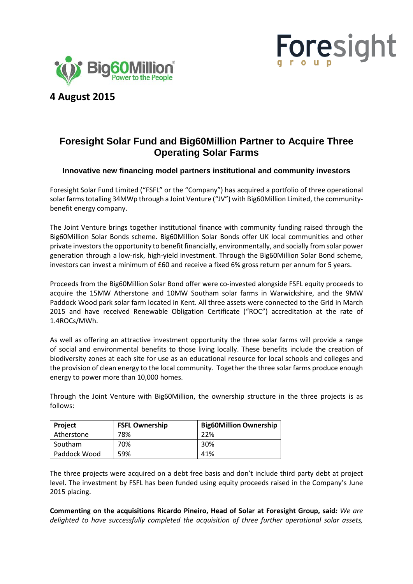



# **4 August 2015**

## **Foresight Solar Fund and Big60Million Partner to Acquire Three Operating Solar Farms**

## **Innovative new financing model partners institutional and community investors**

Foresight Solar Fund Limited ("FSFL" or the "Company") has acquired a portfolio of three operational solar farms totalling 34MWp through a Joint Venture ("JV") with Big60Million Limited, the communitybenefit energy company.

The Joint Venture brings together institutional finance with community funding raised through the Big60Million Solar Bonds scheme. Big60Million Solar Bonds offer UK local communities and other private investors the opportunity to benefit financially, environmentally, and socially from solar power generation through a low-risk, high-yield investment. Through the Big60Million Solar Bond scheme, investors can invest a minimum of £60 and receive a fixed 6% gross return per annum for 5 years.

Proceeds from the Big60Million Solar Bond offer were co-invested alongside FSFL equity proceeds to acquire the 15MW Atherstone and 10MW Southam solar farms in Warwickshire, and the 9MW Paddock Wood park solar farm located in Kent. All three assets were connected to the Grid in March 2015 and have received Renewable Obligation Certificate ("ROC") accreditation at the rate of 1.4ROCs/MWh.

As well as offering an attractive investment opportunity the three solar farms will provide a range of social and environmental benefits to those living locally. These benefits include the creation of biodiversity zones at each site for use as an educational resource for local schools and colleges and the provision of clean energy to the local community. Together the three solar farms produce enough energy to power more than 10,000 homes.

Through the Joint Venture with Big60Million, the ownership structure in the three projects is as follows:

| <b>Project</b> | <b>FSFL Ownership</b> | <b>Big60Million Ownership</b> |
|----------------|-----------------------|-------------------------------|
| Atherstone     | 78%                   | 22%                           |
| Southam        | 70%                   | 30%                           |
| Paddock Wood   | 59%                   | 41%                           |

The three projects were acquired on a debt free basis and don't include third party debt at project level. The investment by FSFL has been funded using equity proceeds raised in the Company's June 2015 placing.

**Commenting on the acquisitions Ricardo Pineiro, Head of Solar at Foresight Group, said***: We are delighted to have successfully completed the acquisition of three further operational solar assets,*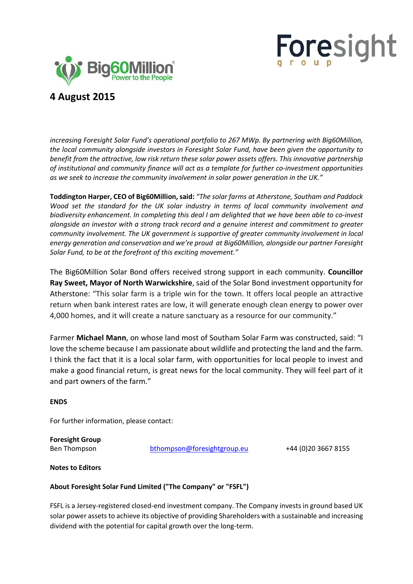



## **4 August 2015**

*increasing Foresight Solar Fund's operational portfolio to 267 MWp. By partnering with Big60Million, the local community alongside investors in Foresight Solar Fund, have been given the opportunity to benefit from the attractive, low risk return these solar power assets offers. This innovative partnership of institutional and community finance will act as a template for further co-investment opportunities as we seek to increase the community involvement in solar power generation in the UK."*

**Toddington Harper, CEO of Big60Million, said:** *"The solar farms at Atherstone, Southam and Paddock Wood set the standard for the UK solar industry in terms of local community involvement and biodiversity enhancement. In completing this deal I am delighted that we have been able to co-invest alongside an investor with a strong track record and a genuine interest and commitment to greater community involvement. The UK government is supportive of greater community involvement in local energy generation and conservation and we're proud at Big60Million, alongside our partner Foresight Solar Fund, to be at the forefront of this exciting movement."* 

The Big60Million Solar Bond offers received strong support in each community. **Councillor Ray Sweet, Mayor of North Warwickshire**, said of the Solar Bond investment opportunity for Atherstone: "This solar farm is a triple win for the town. It offers local people an attractive return when bank interest rates are low, it will generate enough clean energy to power over 4,000 homes, and it will create a nature sanctuary as a resource for our community."

Farmer **Michael Mann**, on whose land most of Southam Solar Farm was constructed, said: "I love the scheme because I am passionate about wildlife and protecting the land and the farm. I think the fact that it is a local solar farm, with opportunities for local people to invest and make a good financial return, is great news for the local community. They will feel part of it and part owners of the farm."

## **ENDS**

For further information, please contact:

**Foresight Group**

Ben Thompson [bthompson@foresightgroup.eu](mailto:bthompson@foresightgroup.eu) +44 (0)20 3667 8155

**Notes to Editors**

### **About Foresight Solar Fund Limited ("The Company" or "FSFL")**

FSFL is a Jersey-registered closed-end investment company. The Company invests in ground based UK solar power assets to achieve its objective of providing Shareholders with a sustainable and increasing dividend with the potential for capital growth over the long-term.